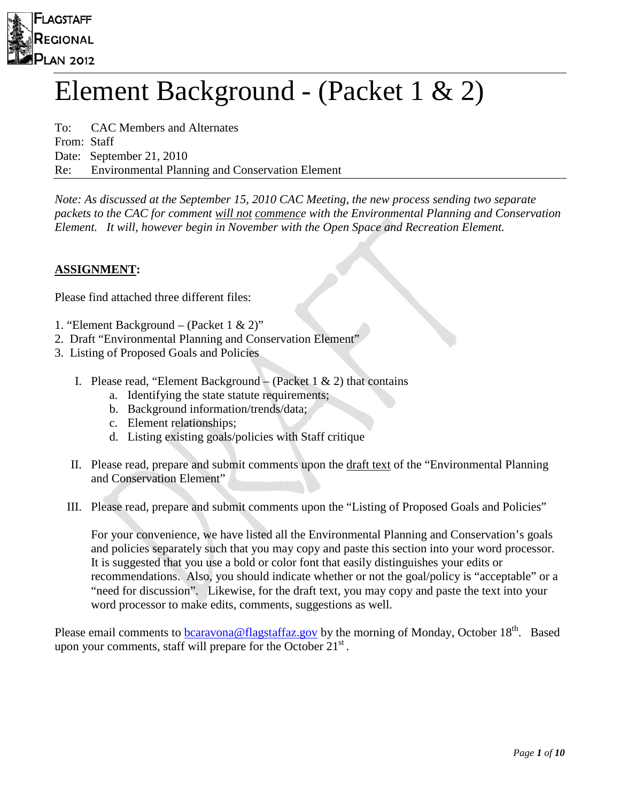

# Element Background - (Packet 1 & 2)

To: CAC Members and Alternates From: Staff Date: September 21, 2010 Re: Environmental Planning and Conservation Element

*Note: As discussed at the September 15, 2010 CAC Meeting, the new process sending two separate packets to the CAC for comment will not commence with the Environmental Planning and Conservation Element. It will, however begin in November with the Open Space and Recreation Element.* 

# **ASSIGNMENT:**

Please find attached three different files:

- 1. "Element Background (Packet 1 & 2)"
- 2. Draft "Environmental Planning and Conservation Element"
- 3. Listing of Proposed Goals and Policies
	- I. Please read, "Element Background (Packet 1  $\&$  2) that contains
		- a. Identifying the state statute requirements;
		- b. Background information/trends/data;
		- c. Element relationships;
		- d. Listing existing goals/policies with Staff critique
	- II. Please read, prepare and submit comments upon the draft text of the "Environmental Planning and Conservation Element"
	- III. Please read, prepare and submit comments upon the "Listing of Proposed Goals and Policies"

For your convenience, we have listed all the Environmental Planning and Conservation's goals and policies separately such that you may copy and paste this section into your word processor. It is suggested that you use a bold or color font that easily distinguishes your edits or recommendations. Also, you should indicate whether or not the goal/policy is "acceptable" or a "need for discussion". Likewise, for the draft text, you may copy and paste the text into your word processor to make edits, comments, suggestions as well.

Please email comments to **bcaravona@flagstaffaz.gov** by the morning of Monday, October 18<sup>th</sup>. Based upon your comments, staff will prepare for the October  $21<sup>st</sup>$ .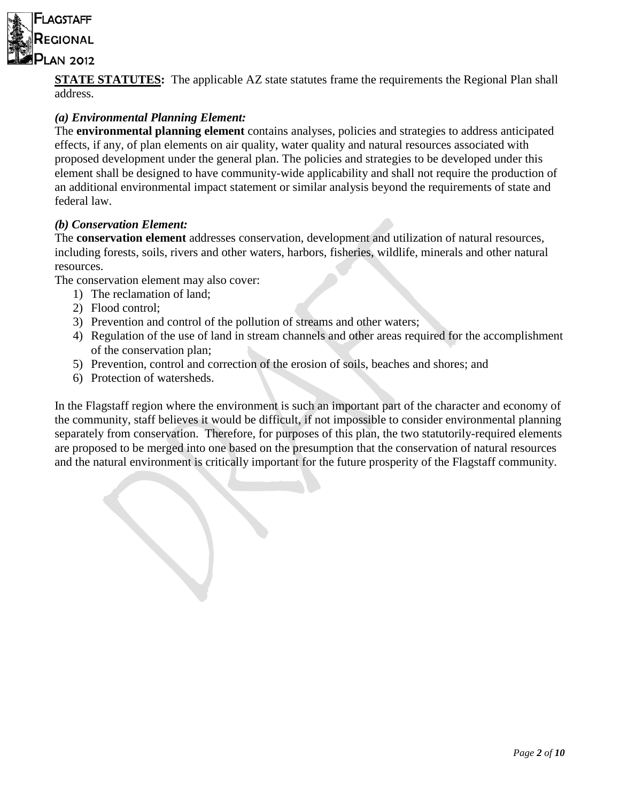

**STATE STATUTES:** The applicable AZ state statutes frame the requirements the Regional Plan shall address.

# *(a) Environmental Planning Element:*

The **environmental planning element** contains analyses, policies and strategies to address anticipated effects, if any, of plan elements on air quality, water quality and natural resources associated with proposed development under the general plan. The policies and strategies to be developed under this element shall be designed to have community-wide applicability and shall not require the production of an additional environmental impact statement or similar analysis beyond the requirements of state and federal law.

# *(b) Conservation Element:*

The **conservation element** addresses conservation, development and utilization of natural resources, including forests, soils, rivers and other waters, harbors, fisheries, wildlife, minerals and other natural resources.

The conservation element may also cover:

- 1) The reclamation of land;
- 2) Flood control;
- 3) Prevention and control of the pollution of streams and other waters;
- 4) Regulation of the use of land in stream channels and other areas required for the accomplishment of the conservation plan;
- 5) Prevention, control and correction of the erosion of soils, beaches and shores; and
- 6) Protection of watersheds.

In the Flagstaff region where the environment is such an important part of the character and economy of the community, staff believes it would be difficult, if not impossible to consider environmental planning separately from conservation. Therefore, for purposes of this plan, the two statutorily-required elements are proposed to be merged into one based on the presumption that the conservation of natural resources and the natural environment is critically important for the future prosperity of the Flagstaff community.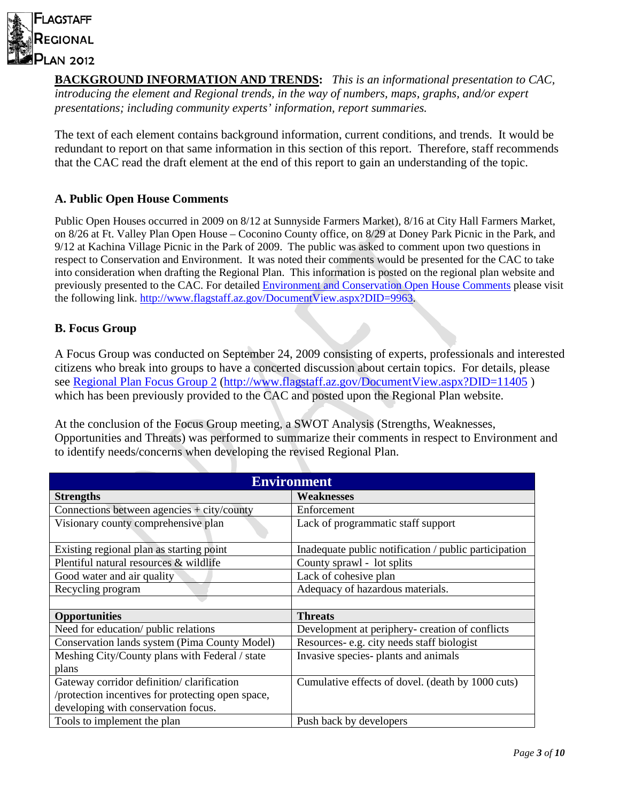

**BACKGROUND INFORMATION AND TRENDS:** *This is an informational presentation to CAC, introducing the element and Regional trends, in the way of numbers, maps, graphs, and/or expert presentations; including community experts' information, report summaries.*

The text of each element contains background information, current conditions, and trends. It would be redundant to report on that same information in this section of this report. Therefore, staff recommends that the CAC read the draft element at the end of this report to gain an understanding of the topic.

# **A. Public Open House Comments**

Public Open Houses occurred in 2009 on 8/12 at Sunnyside Farmers Market), 8/16 at City Hall Farmers Market, on 8/26 at Ft. Valley Plan Open House – Coconino County office, on 8/29 at Doney Park Picnic in the Park, and 9/12 at Kachina Village Picnic in the Park of 2009. The public was asked to comment upon two questions in respect to Conservation and Environment. It was noted their comments would be presented for the CAC to take into consideration when drafting the Regional Plan. This information is posted on the regional plan website and previously presented to the CAC. For detailed [Environment and Conservation Open House Comments](http://www.flagstaff.az.gov/DocumentView.aspx?DID=9963) please visit the following link. [http://www.flagstaff.az.gov/DocumentView.aspx?DID=9963.](http://www.flagstaff.az.gov/DocumentView.aspx?DID=9963)

# **B. Focus Group**

A Focus Group was conducted on September 24, 2009 consisting of experts, professionals and interested citizens who break into groups to have a concerted discussion about certain topics. For details, please see [Regional Plan Focus Group 2](http://www.flagstaff.az.gov/DocumentView.aspx?DID=11405) [\(http://www.flagstaff.az.gov/DocumentView.aspx?DID=11405](http://www.flagstaff.az.gov/DocumentView.aspx?DID=11405) ) which has been previously provided to the CAC and posted upon the Regional Plan website.

At the conclusion of the Focus Group meeting, a SWOT Analysis (Strengths, Weaknesses, Opportunities and Threats) was performed to summarize their comments in respect to Environment and to identify needs/concerns when developing the revised Regional Plan.

| <b>Environment</b>                                |                                                       |
|---------------------------------------------------|-------------------------------------------------------|
| <b>Strengths</b>                                  | <b>Weaknesses</b>                                     |
| Connections between agencies $+$ city/county      | Enforcement                                           |
| Visionary county comprehensive plan               | Lack of programmatic staff support                    |
| Existing regional plan as starting point          | Inadequate public notification / public participation |
| Plentiful natural resources & wildlife            | County sprawl - lot splits                            |
| Good water and air quality                        | Lack of cohesive plan                                 |
| Recycling program                                 | Adequacy of hazardous materials.                      |
|                                                   |                                                       |
| <b>Opportunities</b>                              | <b>Threats</b>                                        |
| Need for education/ public relations              | Development at periphery- creation of conflicts       |
| Conservation lands system (Pima County Model)     | Resources-e.g. city needs staff biologist             |
| Meshing City/County plans with Federal / state    | Invasive species- plants and animals                  |
| plans                                             |                                                       |
| Gateway corridor definition/ clarification        | Cumulative effects of dovel. (death by 1000 cuts)     |
| /protection incentives for protecting open space, |                                                       |
| developing with conservation focus.               |                                                       |
| Tools to implement the plan                       | Push back by developers                               |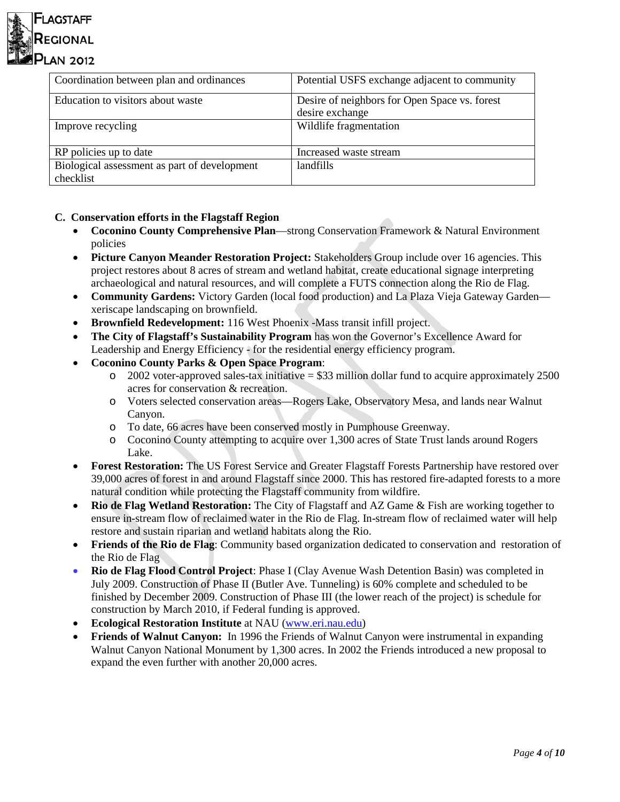

| Coordination between plan and ordinances     | Potential USFS exchange adjacent to community |
|----------------------------------------------|-----------------------------------------------|
| Education to visitors about waste            | Desire of neighbors for Open Space vs. forest |
|                                              | desire exchange                               |
| Improve recycling                            | Wildlife fragmentation                        |
|                                              |                                               |
| RP policies up to date                       | Increased waste stream                        |
| Biological assessment as part of development | landfills                                     |
| checklist                                    |                                               |

# **C. Conservation efforts in the Flagstaff Region**

- **Coconino County Comprehensive Plan**—strong Conservation Framework & Natural Environment policies
- **Picture Canyon Meander Restoration Project:** Stakeholders Group include over 16 agencies. This project restores about 8 acres of stream and wetland habitat, create educational signage interpreting archaeological and natural resources, and will complete a FUTS connection along the Rio de Flag.
- **Community Gardens:** Victory Garden (local food production) and La Plaza Vieja Gateway Garden xeriscape landscaping on brownfield.
- **Brownfield Redevelopment:** 116 West Phoenix -Mass transit infill project.
- **The City of Flagstaff's Sustainability Program** has won the Governor's Excellence Award for Leadership and Energy Efficiency - for the residential energy efficiency program.
- **Coconino County Parks & Open Space Program**:
	- $\degree$  2002 voter-approved sales-tax initiative = \$33 million dollar fund to acquire approximately 2500 acres for conservation & recreation.
	- o Voters selected conservation areas—Rogers Lake, Observatory Mesa, and lands near Walnut Canyon.
	- o To date, 66 acres have been conserved mostly in Pumphouse Greenway.
	- o Coconino County attempting to acquire over 1,300 acres of State Trust lands around Rogers Lake.
- **Forest Restoration:** The US Forest Service and Greater Flagstaff Forests Partnership have restored over 39,000 acres of forest in and around Flagstaff since 2000. This has restored fire-adapted forests to a more natural condition while protecting the Flagstaff community from wildfire.
- **Rio de Flag Wetland Restoration:** The City of Flagstaff and AZ Game & Fish are working together to ensure in-stream flow of reclaimed water in the Rio de Flag. In-stream flow of reclaimed water will help restore and sustain riparian and wetland habitats along the Rio.
- **Friends of the Rio de Flag**: Community based organization dedicated to conservation and restoration of the Rio de Flag
- **Rio de Flag Flood Control Project**: Phase I (Clay Avenue Wash Detention Basin) was completed in July 2009. Construction of Phase II (Butler Ave. Tunneling) is 60% complete and scheduled to be finished by December 2009. Construction of Phase III (the lower reach of the project) is schedule for construction by March 2010, if Federal funding is approved.
- **Ecological Restoration Institute** at NAU [\(www.eri.nau.edu\)](http://www.eri.nau.edu/)
- **Friends of Walnut Canyon:** In 1996 the Friends of Walnut Canyon were instrumental in expanding Walnut Canyon National Monument by 1,300 acres. In 2002 the Friends introduced a new proposal to expand the even further with another 20,000 acres.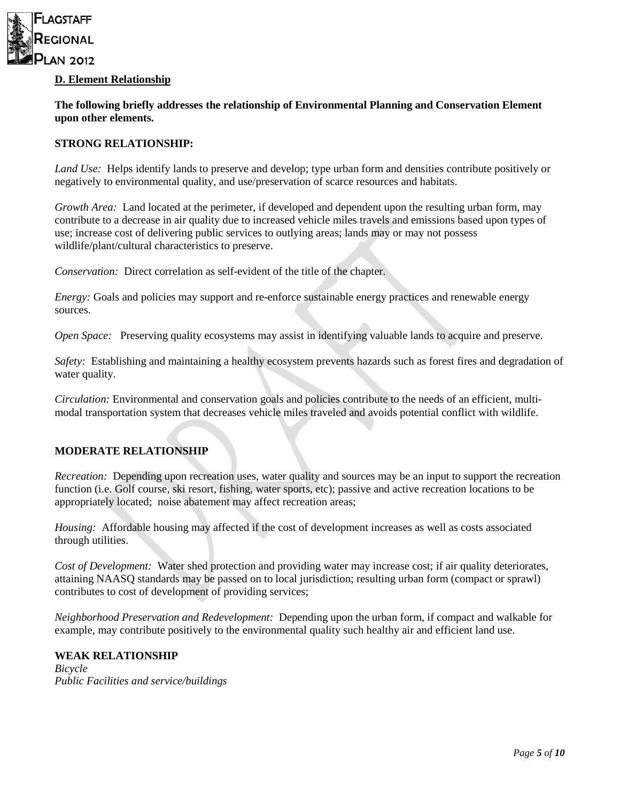

## **D. Element Relationship**

**The following briefly addresses the relationship of Environmental Planning and Conservation Element upon other elements.** 

#### **STRONG RELATIONSHIP:**

*Land Use:* Helps identify lands to preserve and develop; type urban form and densities contribute positively or negatively to environmental quality, and use/preservation of scarce resources and habitats.

*Growth Area:* Land located at the perimeter, if developed and dependent upon the resulting urban form, may contribute to a decrease in air quality due to increased vehicle miles travels and emissions based upon types of use; increase cost of delivering public services to outlying areas; lands may or may not possess wildlife/plant/cultural characteristics to preserve.

*Conservation:* Direct correlation as self-evident of the title of the chapter.

*Energy:* Goals and policies may support and re-enforce sustainable energy practices and renewable energy sources.

*Open Space:* Preserving quality ecosystems may assist in identifying valuable lands to acquire and preserve.

*Safety:* Establishing and maintaining a healthy ecosystem prevents hazards such as forest fires and degradation of water quality.

*Circulation:* Environmental and conservation goals and policies contribute to the needs of an efficient, multimodal transportation system that decreases vehicle miles traveled and avoids potential conflict with wildlife.

# **MODERATE RELATIONSHIP**

*Recreation:* Depending upon recreation uses, water quality and sources may be an input to support the recreation function (i.e. Golf course, ski resort, fishing, water sports, etc); passive and active recreation locations to be appropriately located; noise abatement may affect recreation areas;

*Housing:* Affordable housing may affected if the cost of development increases as well as costs associated through utilities.

*Cost of Development:* Water shed protection and providing water may increase cost; if air quality deteriorates, attaining NAASQ standards may be passed on to local jurisdiction; resulting urban form (compact or sprawl) contributes to cost of development of providing services;

*Neighborhood Preservation and Redevelopment:* Depending upon the urban form, if compact and walkable for example, may contribute positively to the environmental quality such healthy air and efficient land use.

#### **WEAK RELATIONSHIP**

*Bicycle Public Facilities and service/buildings*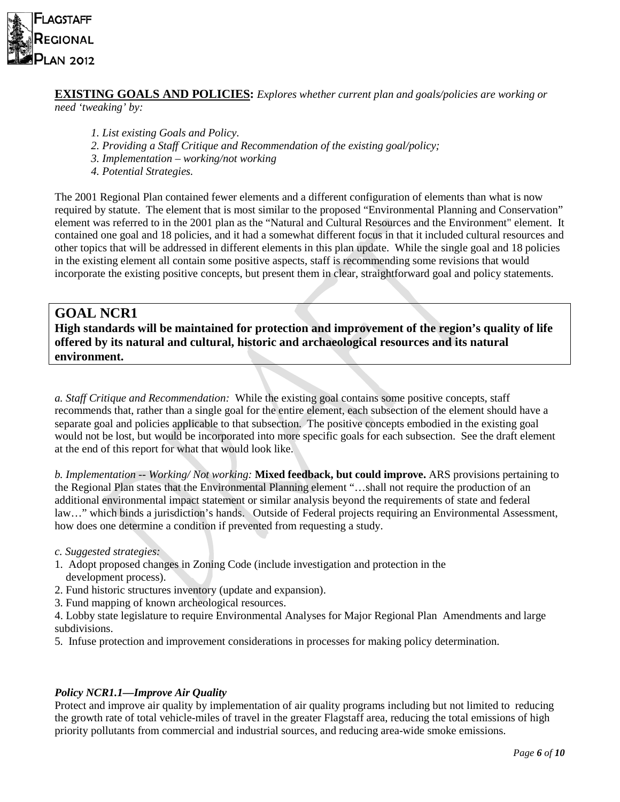

# **EXISTING GOALS AND POLICIES:** *Explores whether current plan and goals/policies are working or need 'tweaking' by:*

- *1. List existing Goals and Policy.*
- *2. Providing a Staff Critique and Recommendation of the existing goal/policy;*
- *3. Implementation – working/not working*
- *4. Potential Strategies.*

The 2001 Regional Plan contained fewer elements and a different configuration of elements than what is now required by statute. The element that is most similar to the proposed "Environmental Planning and Conservation" element was referred to in the 2001 plan as the "Natural and Cultural Resources and the Environment" element. It contained one goal and 18 policies, and it had a somewhat different focus in that it included cultural resources and other topics that will be addressed in different elements in this plan update. While the single goal and 18 policies in the existing element all contain some positive aspects, staff is recommending some revisions that would incorporate the existing positive concepts, but present them in clear, straightforward goal and policy statements.

# **GOAL NCR1**

**High standards will be maintained for protection and improvement of the region's quality of life offered by its natural and cultural, historic and archaeological resources and its natural environment.**

*a. Staff Critique and Recommendation:* While the existing goal contains some positive concepts, staff recommends that, rather than a single goal for the entire element, each subsection of the element should have a separate goal and policies applicable to that subsection. The positive concepts embodied in the existing goal would not be lost, but would be incorporated into more specific goals for each subsection. See the draft element at the end of this report for what that would look like.

*b. Implementation -- Working/ Not working:* **Mixed feedback, but could improve.** ARS provisions pertaining to the Regional Plan states that the Environmental Planning element "…shall not require the production of an additional environmental impact statement or similar analysis beyond the requirements of state and federal law…" which binds a jurisdiction's hands. Outside of Federal projects requiring an Environmental Assessment, how does one determine a condition if prevented from requesting a study.

#### *c. Suggested strategies:*

- 1. Adopt proposed changes in Zoning Code (include investigation and protection in the development process).
- 2. Fund historic structures inventory (update and expansion).
- 3. Fund mapping of known archeological resources.

4. Lobby state legislature to require Environmental Analyses for Major Regional Plan Amendments and large subdivisions.

5. Infuse protection and improvement considerations in processes for making policy determination.

# *Policy NCR1.1—Improve Air Quality*

Protect and improve air quality by implementation of air quality programs including but not limited to reducing the growth rate of total vehicle-miles of travel in the greater Flagstaff area, reducing the total emissions of high priority pollutants from commercial and industrial sources, and reducing area-wide smoke emissions.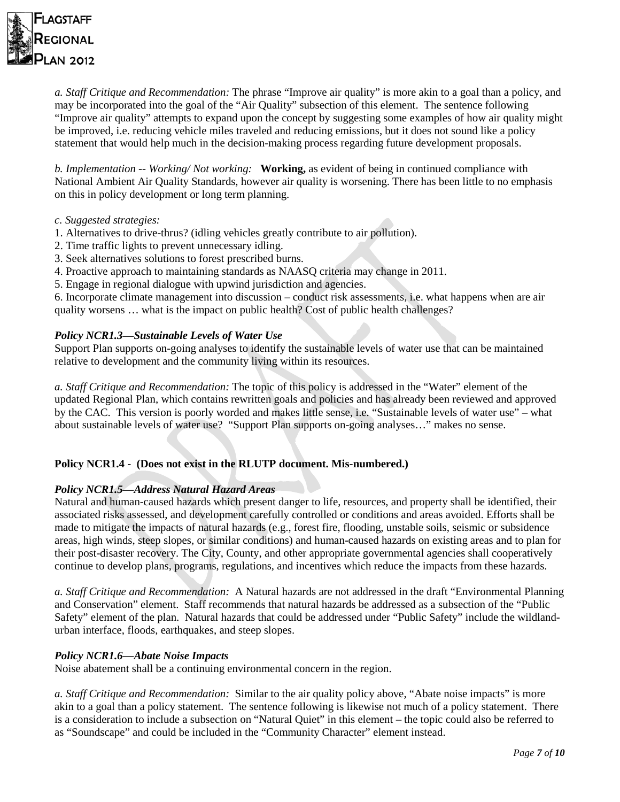

*a. Staff Critique and Recommendation:* The phrase "Improve air quality" is more akin to a goal than a policy, and may be incorporated into the goal of the "Air Quality" subsection of this element. The sentence following "Improve air quality" attempts to expand upon the concept by suggesting some examples of how air quality might be improved, i.e. reducing vehicle miles traveled and reducing emissions, but it does not sound like a policy statement that would help much in the decision-making process regarding future development proposals.

*b. Implementation -- Working/ Not working:* **Working,** as evident of being in continued compliance with National Ambient Air Quality Standards, however air quality is worsening. There has been little to no emphasis on this in policy development or long term planning.

- *c. Suggested strategies:*
- 1. Alternatives to drive-thrus? (idling vehicles greatly contribute to air pollution).
- 2. Time traffic lights to prevent unnecessary idling.
- 3. Seek alternatives solutions to forest prescribed burns.
- 4. Proactive approach to maintaining standards as NAASQ criteria may change in 2011.
- 5. Engage in regional dialogue with upwind jurisdiction and agencies.

6. Incorporate climate management into discussion – conduct risk assessments, i.e. what happens when are air quality worsens … what is the impact on public health? Cost of public health challenges?

## *Policy NCR1.3—Sustainable Levels of Water Use*

Support Plan supports on-going analyses to identify the sustainable levels of water use that can be maintained relative to development and the community living within its resources.

*a. Staff Critique and Recommendation:* The topic of this policy is addressed in the "Water" element of the updated Regional Plan, which contains rewritten goals and policies and has already been reviewed and approved by the CAC. This version is poorly worded and makes little sense, i.e. "Sustainable levels of water use" – what about sustainable levels of water use? "Support Plan supports on-going analyses…" makes no sense.

# **Policy NCR1.4 - (Does not exist in the RLUTP document. Mis-numbered.)**

#### *Policy NCR1.5—Address Natural Hazard Areas*

Natural and human-caused hazards which present danger to life, resources, and property shall be identified, their associated risks assessed, and development carefully controlled or conditions and areas avoided. Efforts shall be made to mitigate the impacts of natural hazards (e.g., forest fire, flooding, unstable soils, seismic or subsidence areas, high winds, steep slopes, or similar conditions) and human-caused hazards on existing areas and to plan for their post-disaster recovery. The City, County, and other appropriate governmental agencies shall cooperatively continue to develop plans, programs, regulations, and incentives which reduce the impacts from these hazards.

*a. Staff Critique and Recommendation:* A Natural hazards are not addressed in the draft "Environmental Planning and Conservation" element. Staff recommends that natural hazards be addressed as a subsection of the "Public Safety" element of the plan. Natural hazards that could be addressed under "Public Safety" include the wildlandurban interface, floods, earthquakes, and steep slopes.

#### *Policy NCR1.6—Abate Noise Impacts*

Noise abatement shall be a continuing environmental concern in the region.

*a. Staff Critique and Recommendation:* Similar to the air quality policy above, "Abate noise impacts" is more akin to a goal than a policy statement. The sentence following is likewise not much of a policy statement. There is a consideration to include a subsection on "Natural Quiet" in this element – the topic could also be referred to as "Soundscape" and could be included in the "Community Character" element instead.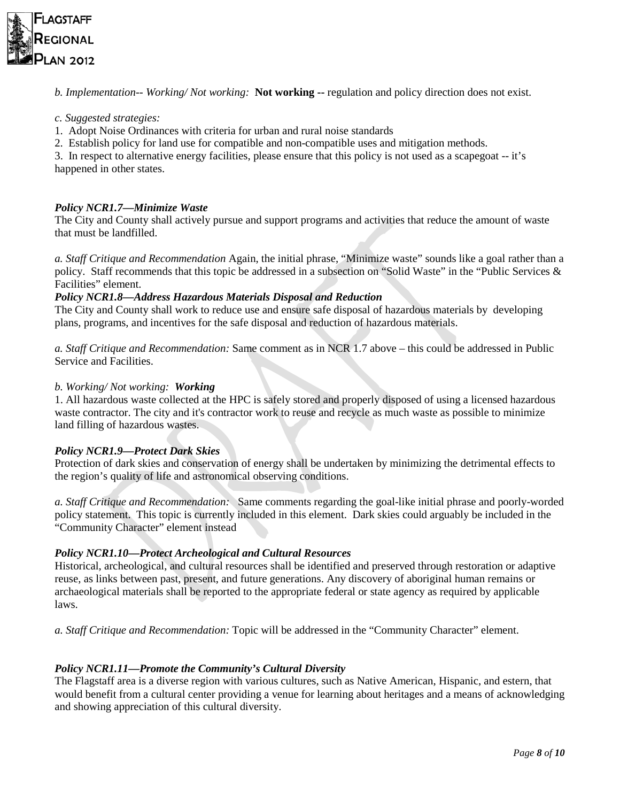

*b. Implementation-- Working/ Not working:* **Not working --** regulation and policy direction does not exist.

## *c. Suggested strategies:*

- 1. Adopt Noise Ordinances with criteria for urban and rural noise standards
- 2. Establish policy for land use for compatible and non-compatible uses and mitigation methods.

3. In respect to alternative energy facilities, please ensure that this policy is not used as a scapegoat -- it's happened in other states.

## *Policy NCR1.7—Minimize Waste*

The City and County shall actively pursue and support programs and activities that reduce the amount of waste that must be landfilled.

*a. Staff Critique and Recommendation* Again, the initial phrase, "Minimize waste" sounds like a goal rather than a policy. Staff recommends that this topic be addressed in a subsection on "Solid Waste" in the "Public Services & Facilities" element.

## *Policy NCR1.8—Address Hazardous Materials Disposal and Reduction*

The City and County shall work to reduce use and ensure safe disposal of hazardous materials by developing plans, programs, and incentives for the safe disposal and reduction of hazardous materials.

*a. Staff Critique and Recommendation:* Same comment as in NCR 1.7 above – this could be addressed in Public Service and Facilities.

#### *b. Working/ Not working: Working*

1. All hazardous waste collected at the HPC is safely stored and properly disposed of using a licensed hazardous waste contractor. The city and it's contractor work to reuse and recycle as much waste as possible to minimize land filling of hazardous wastes.

#### *Policy NCR1.9—Protect Dark Skies*

Protection of dark skies and conservation of energy shall be undertaken by minimizing the detrimental effects to the region's quality of life and astronomical observing conditions.

*a. Staff Critique and Recommendation:* Same comments regarding the goal-like initial phrase and poorly-worded policy statement. This topic is currently included in this element. Dark skies could arguably be included in the "Community Character" element instead

# *Policy NCR1.10—Protect Archeological and Cultural Resources*

Historical, archeological, and cultural resources shall be identified and preserved through restoration or adaptive reuse, as links between past, present, and future generations. Any discovery of aboriginal human remains or archaeological materials shall be reported to the appropriate federal or state agency as required by applicable laws.

*a. Staff Critique and Recommendation:* Topic will be addressed in the "Community Character" element.

# *Policy NCR1.11—Promote the Community's Cultural Diversity*

The Flagstaff area is a diverse region with various cultures, such as Native American, Hispanic, and estern, that would benefit from a cultural center providing a venue for learning about heritages and a means of acknowledging and showing appreciation of this cultural diversity.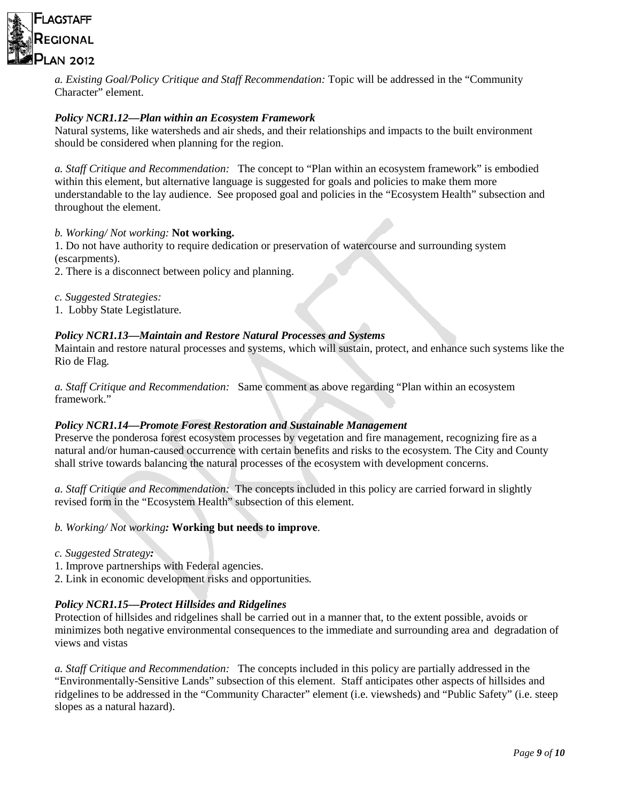

*a. Existing Goal/Policy Critique and Staff Recommendation:* Topic will be addressed in the "Community Character" element.

# *Policy NCR1.12—Plan within an Ecosystem Framework*

Natural systems, like watersheds and air sheds, and their relationships and impacts to the built environment should be considered when planning for the region.

*a. Staff Critique and Recommendation:* The concept to "Plan within an ecosystem framework" is embodied within this element, but alternative language is suggested for goals and policies to make them more understandable to the lay audience. See proposed goal and policies in the "Ecosystem Health" subsection and throughout the element.

# *b. Working/ Not working:* **Not working.**

1. Do not have authority to require dedication or preservation of watercourse and surrounding system (escarpments).

2. There is a disconnect between policy and planning.

- *c. Suggested Strategies:*
- 1. Lobby State Legistlature.

# *Policy NCR1.13—Maintain and Restore Natural Processes and Systems*

Maintain and restore natural processes and systems, which will sustain, protect, and enhance such systems like the Rio de Flag*.*

*a. Staff Critique and Recommendation:* Same comment as above regarding "Plan within an ecosystem framework."

#### *Policy NCR1.14—Promote Forest Restoration and Sustainable Management*

Preserve the ponderosa forest ecosystem processes by vegetation and fire management, recognizing fire as a natural and/or human-caused occurrence with certain benefits and risks to the ecosystem. The City and County shall strive towards balancing the natural processes of the ecosystem with development concerns.

*a. Staff Critique and Recommendation:* The concepts included in this policy are carried forward in slightly revised form in the "Ecosystem Health" subsection of this element.

#### *b. Working/ Not working:* **Working but needs to improve**.

- *c. Suggested Strategy:*
- 1. Improve partnerships with Federal agencies.
- 2. Link in economic development risks and opportunities*.*

#### *Policy NCR1.15—Protect Hillsides and Ridgelines*

Protection of hillsides and ridgelines shall be carried out in a manner that, to the extent possible, avoids or minimizes both negative environmental consequences to the immediate and surrounding area and degradation of views and vistas

*a. Staff Critique and Recommendation:* The concepts included in this policy are partially addressed in the "Environmentally-Sensitive Lands" subsection of this element. Staff anticipates other aspects of hillsides and ridgelines to be addressed in the "Community Character" element (i.e. viewsheds) and "Public Safety" (i.e. steep slopes as a natural hazard).